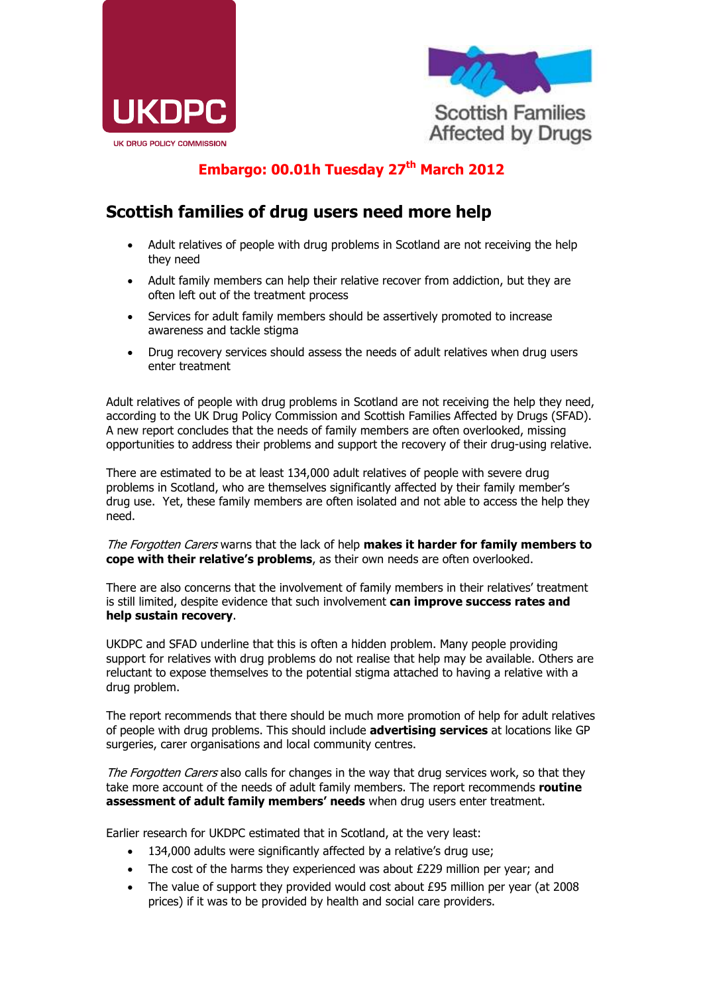



## **Embargo: 00.01h Tuesday 27th March 2012**

## **Scottish families of drug users need more help**

- Adult relatives of people with drug problems in Scotland are not receiving the help they need
- Adult family members can help their relative recover from addiction, but they are often left out of the treatment process
- Services for adult family members should be assertively promoted to increase awareness and tackle stigma
- Drug recovery services should assess the needs of adult relatives when drug users enter treatment

Adult relatives of people with drug problems in Scotland are not receiving the help they need, according to the UK Drug Policy Commission and Scottish Families Affected by Drugs (SFAD). A new report concludes that the needs of family members are often overlooked, missing opportunities to address their problems and support the recovery of their drug-using relative.

There are estimated to be at least 134,000 adult relatives of people with severe drug problems in Scotland, who are themselves significantly affected by their family member's drug use. Yet, these family members are often isolated and not able to access the help they need.

The Forgotten Carers warns that the lack of help **makes it harder for family members to cope with their relative's problems**, as their own needs are often overlooked.

There are also concerns that the involvement of family members in their relatives' treatment is still limited, despite evidence that such involvement **can improve success rates and help sustain recovery**.

UKDPC and SFAD underline that this is often a hidden problem. Many people providing support for relatives with drug problems do not realise that help may be available. Others are reluctant to expose themselves to the potential stigma attached to having a relative with a drug problem.

The report recommends that there should be much more promotion of help for adult relatives of people with drug problems. This should include **advertising services** at locations like GP surgeries, carer organisations and local community centres.

The Forgotten Carers also calls for changes in the way that drug services work, so that they take more account of the needs of adult family members. The report recommends **routine assessment of adult family members' needs** when drug users enter treatment.

Earlier research for UKDPC estimated that in Scotland, at the very least:

- 134,000 adults were significantly affected by a relative's drug use;
- The cost of the harms they experienced was about £229 million per year; and
- The value of support they provided would cost about  $£95$  million per year (at 2008) prices) if it was to be provided by health and social care providers.